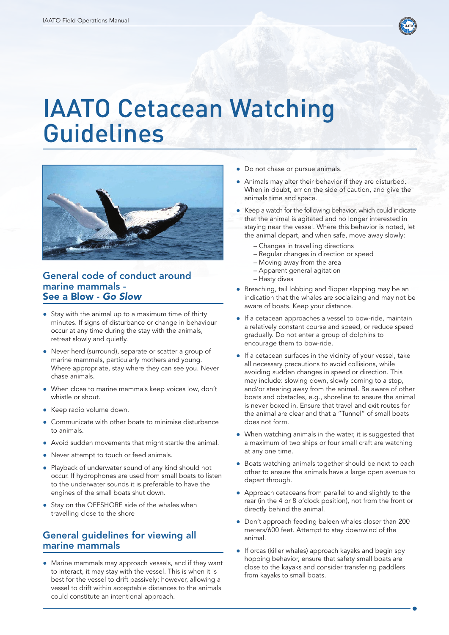

# IAATO Cetacean Watching Guidelines



### General code of conduct around marine mammals - See a Blow - *Go Slow*

- Stay with the animal up to a maximum time of thirty minutes. If signs of disturbance or change in behaviour occur at any time during the stay with the animals, retreat slowly and quietly.
- Never herd (surround), separate or scatter a group of marine mammals, particularly mothers and young. Where appropriate, stay where they can see you. Never chase animals.
- When close to marine mammals keep voices low, don't whistle or shout.
- Keep radio volume down.
- Communicate with other boats to minimise disturbance to animals.
- Avoid sudden movements that might startle the animal.
- Never attempt to touch or feed animals.
- Playback of underwater sound of any kind should not occur. If hydrophones are used from small boats to listen to the underwater sounds it is preferable to have the engines of the small boats shut down.
- Stay on the OFFSHORE side of the whales when travelling close to the shore

## General guidelines for viewing all marine mammals

• Marine mammals may approach vessels, and if they want to interact, it may stay with the vessel. This is when it is best for the vessel to drift passively; however, allowing a vessel to drift within acceptable distances to the animals could constitute an intentional approach.

- Do not chase or pursue animals.
- Animals may alter their behavior if they are disturbed. When in doubt, err on the side of caution, and give the animals time and space.
- Keep a watch for the following behavior, which could indicate that the animal is agitated and no longer interested in staying near the vessel. Where this behavior is noted, let the animal depart, and when safe, move away slowly:
	- Changes in travelling directions
	- Regular changes in direction or speed
	- Moving away from the area
	- Apparent general agitation
	- Hasty dives
- Breaching, tail lobbing and flipper slapping may be an indication that the whales are socializing and may not be aware of boats. Keep your distance.
- ● If a cetacean approaches a vessel to bow-ride, maintain a relatively constant course and speed, or reduce speed gradually. Do not enter a group of dolphins to encourage them to bow-ride.
- If a cetacean surfaces in the vicinity of your vessel, take all necessary precautions to avoid collisions, while avoiding sudden changes in speed or direction. This may include: slowing down, slowly coming to a stop, and/or steering away from the animal. Be aware of other boats and obstacles, e.g., shoreline to ensure the animal is never boxed in. Ensure that travel and exit routes for the animal are clear and that a "Tunnel" of small boats does not form.
- When watching animals in the water, it is suggested that a maximum of two ships or four small craft are watching at any one time.
- Boats watching animals together should be next to each other to ensure the animals have a large open avenue to depart through.
- ● Approach cetaceans from parallel to and slightly to the rear (in the 4 or 8 o'clock position), not from the front or directly behind the animal.
- Don't approach feeding baleen whales closer than 200 meters/600 feet. Attempt to stay downwind of the animal.
- If orcas (killer whales) approach kayaks and begin spy hopping behavior, ensure that safety small boats are close to the kayaks and consider transfering paddlers from kayaks to small boats.